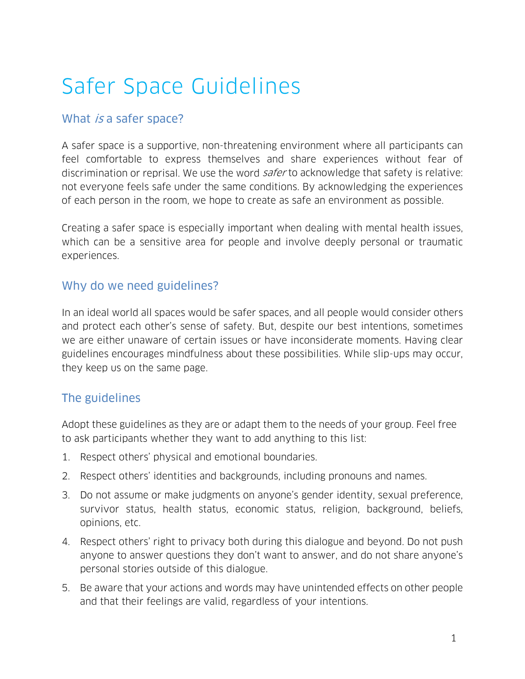# Safer Space Guidelines

#### What is a safer space?

A safer space is a supportive, non-threatening environment where all participants can feel comfortable to express themselves and share experiences without fear of discrimination or reprisal. We use the word safer to acknowledge that safety is relative: not everyone feels safe under the same conditions. By acknowledging the experiences of each person in the room, we hope to create as safe an environment as possible.

Creating a safer space is especially important when dealing with mental health issues, which can be a sensitive area for people and involve deeply personal or traumatic experiences.

## Why do we need guidelines?

In an ideal world all spaces would be safer spaces, and all people would consider others and protect each other's sense of safety. But, despite our best intentions, sometimes we are either unaware of certain issues or have inconsiderate moments. Having clear guidelines encourages mindfulness about these possibilities. While slip-ups may occur, they keep us on the same page.

## The guidelines

Adopt these guidelines as they are or adapt them to the needs of your group. Feel free to ask participants whether they want to add anything to this list:

- 1. Respect others' physical and emotional boundaries.
- 2. Respect others' identities and backgrounds, including pronouns and names.
- 3. Do not assume or make judgments on anyone's gender identity, sexual preference, survivor status, health status, economic status, religion, background, beliefs, opinions, etc.
- 4. Respect others' right to privacy both during this dialogue and beyond. Do not push anyone to answer questions they don't want to answer, and do not share anyone's personal stories outside of this dialogue.
- 5. Be aware that your actions and words may have unintended effects on other people and that their feelings are valid, regardless of your intentions.